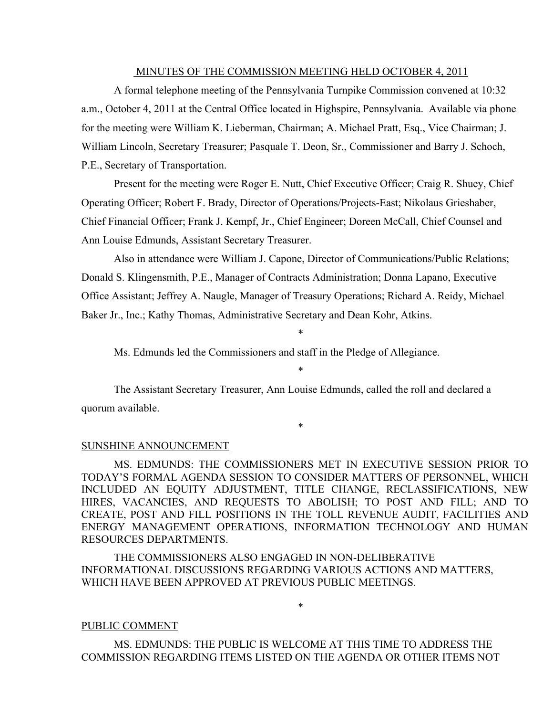#### MINUTES OF THE COMMISSION MEETING HELD OCTOBER 4, 2011

A formal telephone meeting of the Pennsylvania Turnpike Commission convened at 10:32 a.m., October 4, 2011 at the Central Office located in Highspire, Pennsylvania. Available via phone for the meeting were William K. Lieberman, Chairman; A. Michael Pratt, Esq., Vice Chairman; J. William Lincoln, Secretary Treasurer; Pasquale T. Deon, Sr., Commissioner and Barry J. Schoch, P.E., Secretary of Transportation.

Present for the meeting were Roger E. Nutt, Chief Executive Officer; Craig R. Shuey, Chief Operating Officer; Robert F. Brady, Director of Operations/Projects-East; Nikolaus Grieshaber, Chief Financial Officer; Frank J. Kempf, Jr., Chief Engineer; Doreen McCall, Chief Counsel and Ann Louise Edmunds, Assistant Secretary Treasurer.

Also in attendance were William J. Capone, Director of Communications/Public Relations; Donald S. Klingensmith, P.E., Manager of Contracts Administration; Donna Lapano, Executive Office Assistant; Jeffrey A. Naugle, Manager of Treasury Operations; Richard A. Reidy, Michael Baker Jr., Inc.; Kathy Thomas, Administrative Secretary and Dean Kohr, Atkins.

Ms. Edmunds led the Commissioners and staff in the Pledge of Allegiance.

\*

\*

The Assistant Secretary Treasurer, Ann Louise Edmunds, called the roll and declared a quorum available.

\*

#### SUNSHINE ANNOUNCEMENT

MS. EDMUNDS: THE COMMISSIONERS MET IN EXECUTIVE SESSION PRIOR TO TODAY'S FORMAL AGENDA SESSION TO CONSIDER MATTERS OF PERSONNEL, WHICH INCLUDED AN EQUITY ADJUSTMENT, TITLE CHANGE, RECLASSIFICATIONS, NEW HIRES, VACANCIES, AND REQUESTS TO ABOLISH; TO POST AND FILL; AND TO CREATE, POST AND FILL POSITIONS IN THE TOLL REVENUE AUDIT, FACILITIES AND ENERGY MANAGEMENT OPERATIONS, INFORMATION TECHNOLOGY AND HUMAN RESOURCES DEPARTMENTS.

THE COMMISSIONERS ALSO ENGAGED IN NON-DELIBERATIVE INFORMATIONAL DISCUSSIONS REGARDING VARIOUS ACTIONS AND MATTERS, WHICH HAVE BEEN APPROVED AT PREVIOUS PUBLIC MEETINGS.

#### PUBLIC COMMENT

MS. EDMUNDS: THE PUBLIC IS WELCOME AT THIS TIME TO ADDRESS THE COMMISSION REGARDING ITEMS LISTED ON THE AGENDA OR OTHER ITEMS NOT

\*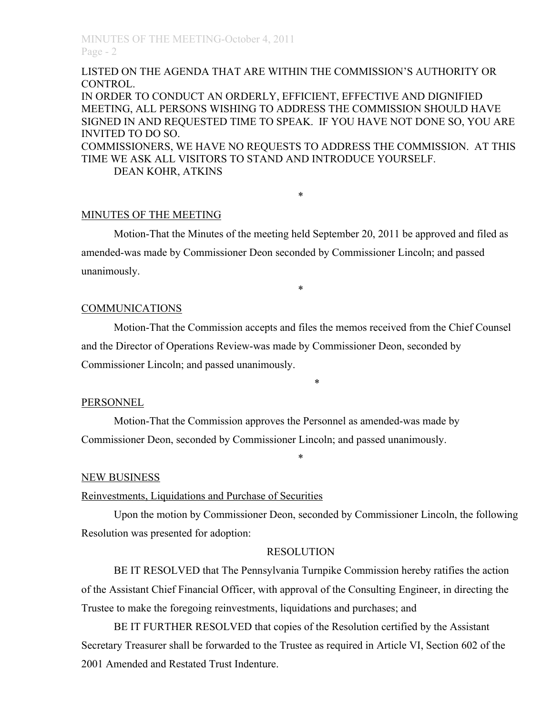LISTED ON THE AGENDA THAT ARE WITHIN THE COMMISSION'S AUTHORITY OR CONTROL.

IN ORDER TO CONDUCT AN ORDERLY, EFFICIENT, EFFECTIVE AND DIGNIFIED MEETING, ALL PERSONS WISHING TO ADDRESS THE COMMISSION SHOULD HAVE SIGNED IN AND REQUESTED TIME TO SPEAK. IF YOU HAVE NOT DONE SO, YOU ARE INVITED TO DO SO. COMMISSIONERS, WE HAVE NO REQUESTS TO ADDRESS THE COMMISSION. AT THIS TIME WE ASK ALL VISITORS TO STAND AND INTRODUCE YOURSELF.

\*

DEAN KOHR, ATKINS

### MINUTES OF THE MEETING

Motion-That the Minutes of the meeting held September 20, 2011 be approved and filed as amended-was made by Commissioner Deon seconded by Commissioner Lincoln; and passed unanimously.

\*

### **COMMUNICATIONS**

Motion-That the Commission accepts and files the memos received from the Chief Counsel and the Director of Operations Review-was made by Commissioner Deon, seconded by Commissioner Lincoln; and passed unanimously.

#### \*

#### PERSONNEL

Motion-That the Commission approves the Personnel as amended-was made by Commissioner Deon, seconded by Commissioner Lincoln; and passed unanimously.

#### NEW BUSINESS

#### Reinvestments, Liquidations and Purchase of Securities

Upon the motion by Commissioner Deon, seconded by Commissioner Lincoln, the following Resolution was presented for adoption:

\*

# RESOLUTION

BE IT RESOLVED that The Pennsylvania Turnpike Commission hereby ratifies the action of the Assistant Chief Financial Officer, with approval of the Consulting Engineer, in directing the Trustee to make the foregoing reinvestments, liquidations and purchases; and

BE IT FURTHER RESOLVED that copies of the Resolution certified by the Assistant Secretary Treasurer shall be forwarded to the Trustee as required in Article VI, Section 602 of the 2001 Amended and Restated Trust Indenture.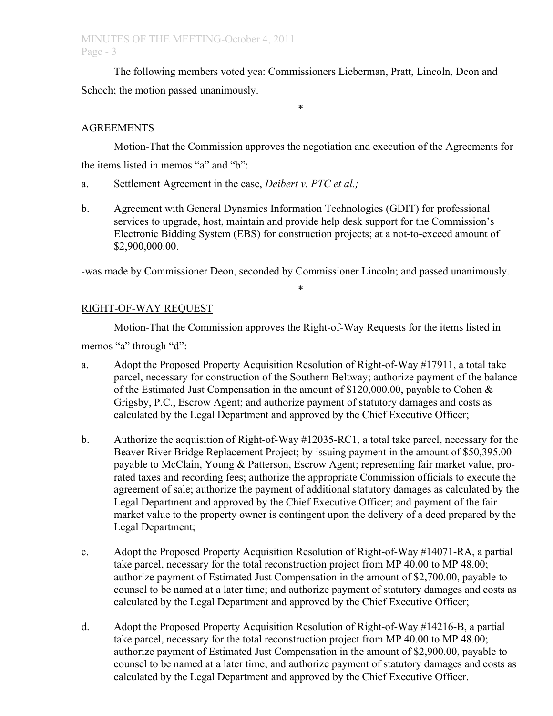# MINUTES OF THE MEETING-October 4, 2011 Page - 3

The following members voted yea: Commissioners Lieberman, Pratt, Lincoln, Deon and Schoch; the motion passed unanimously.

# AGREEMENTS

Motion-That the Commission approves the negotiation and execution of the Agreements for the items listed in memos "a" and "b":

\*

- a. Settlement Agreement in the case, *Deibert v. PTC et al.;*
- b. Agreement with General Dynamics Information Technologies (GDIT) for professional services to upgrade, host, maintain and provide help desk support for the Commission's Electronic Bidding System (EBS) for construction projects; at a not-to-exceed amount of \$2,900,000.00.

-was made by Commissioner Deon, seconded by Commissioner Lincoln; and passed unanimously.

\*

# RIGHT-OF-WAY REQUEST

Motion-That the Commission approves the Right-of-Way Requests for the items listed in memos "a" through "d":

- a. Adopt the Proposed Property Acquisition Resolution of Right-of-Way #17911, a total take parcel, necessary for construction of the Southern Beltway; authorize payment of the balance of the Estimated Just Compensation in the amount of \$120,000.00, payable to Cohen & Grigsby, P.C., Escrow Agent; and authorize payment of statutory damages and costs as calculated by the Legal Department and approved by the Chief Executive Officer;
- b. Authorize the acquisition of Right-of-Way #12035-RC1, a total take parcel, necessary for the Beaver River Bridge Replacement Project; by issuing payment in the amount of \$50,395.00 payable to McClain, Young & Patterson, Escrow Agent; representing fair market value, prorated taxes and recording fees; authorize the appropriate Commission officials to execute the agreement of sale; authorize the payment of additional statutory damages as calculated by the Legal Department and approved by the Chief Executive Officer; and payment of the fair market value to the property owner is contingent upon the delivery of a deed prepared by the Legal Department;
- c. Adopt the Proposed Property Acquisition Resolution of Right-of-Way #14071-RA, a partial take parcel, necessary for the total reconstruction project from MP 40.00 to MP 48.00; authorize payment of Estimated Just Compensation in the amount of \$2,700.00, payable to counsel to be named at a later time; and authorize payment of statutory damages and costs as calculated by the Legal Department and approved by the Chief Executive Officer;
- d. Adopt the Proposed Property Acquisition Resolution of Right-of-Way #14216-B, a partial take parcel, necessary for the total reconstruction project from MP 40.00 to MP 48.00; authorize payment of Estimated Just Compensation in the amount of \$2,900.00, payable to counsel to be named at a later time; and authorize payment of statutory damages and costs as calculated by the Legal Department and approved by the Chief Executive Officer.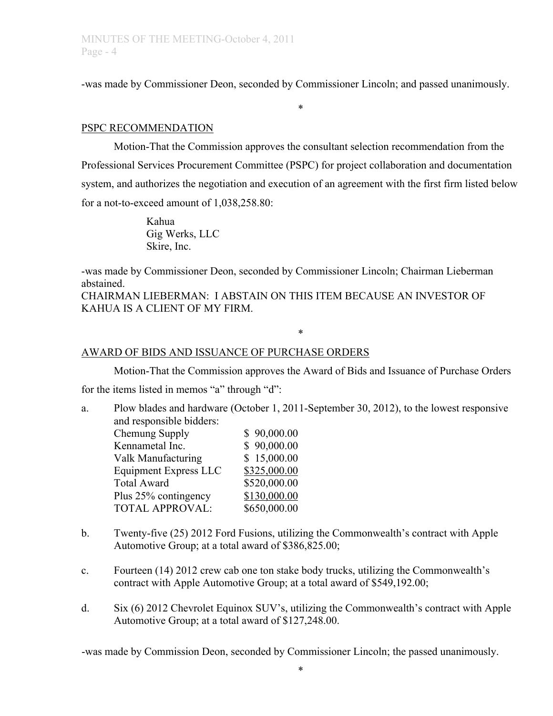-was made by Commissioner Deon, seconded by Commissioner Lincoln; and passed unanimously.

\*

# PSPC RECOMMENDATION

Motion-That the Commission approves the consultant selection recommendation from the Professional Services Procurement Committee (PSPC) for project collaboration and documentation system, and authorizes the negotiation and execution of an agreement with the first firm listed below for a not-to-exceed amount of 1,038,258.80:

> Kahua Gig Werks, LLC Skire, Inc.

-was made by Commissioner Deon, seconded by Commissioner Lincoln; Chairman Lieberman abstained.

CHAIRMAN LIEBERMAN: I ABSTAIN ON THIS ITEM BECAUSE AN INVESTOR OF KAHUA IS A CLIENT OF MY FIRM.

### AWARD OF BIDS AND ISSUANCE OF PURCHASE ORDERS

Motion-That the Commission approves the Award of Bids and Issuance of Purchase Orders

\*

for the items listed in memos "a" through "d":

a. Plow blades and hardware (October 1, 2011-September 30, 2012), to the lowest responsive and responsible bidders:

| \$90,000.00  |
|--------------|
| \$90,000.00  |
| \$15,000.00  |
| \$325,000.00 |
| \$520,000.00 |
| \$130,000.00 |
| \$650,000.00 |
|              |

- b. Twenty-five (25) 2012 Ford Fusions, utilizing the Commonwealth's contract with Apple Automotive Group; at a total award of \$386,825.00;
- c. Fourteen (14) 2012 crew cab one ton stake body trucks, utilizing the Commonwealth's contract with Apple Automotive Group; at a total award of \$549,192.00;
- d. Six (6) 2012 Chevrolet Equinox SUV's, utilizing the Commonwealth's contract with Apple Automotive Group; at a total award of \$127,248.00.

-was made by Commission Deon, seconded by Commissioner Lincoln; the passed unanimously.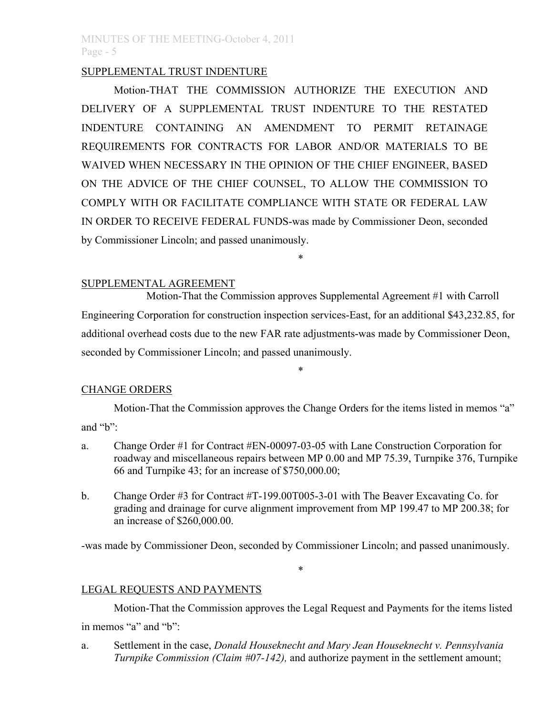# MINUTES OF THE MEETING-October 4, 2011 Page - 5

# SUPPLEMENTAL TRUST INDENTURE

Motion-THAT THE COMMISSION AUTHORIZE THE EXECUTION AND DELIVERY OF A SUPPLEMENTAL TRUST INDENTURE TO THE RESTATED INDENTURE CONTAINING AN AMENDMENT TO PERMIT RETAINAGE REQUIREMENTS FOR CONTRACTS FOR LABOR AND/OR MATERIALS TO BE WAIVED WHEN NECESSARY IN THE OPINION OF THE CHIEF ENGINEER, BASED ON THE ADVICE OF THE CHIEF COUNSEL, TO ALLOW THE COMMISSION TO COMPLY WITH OR FACILITATE COMPLIANCE WITH STATE OR FEDERAL LAW IN ORDER TO RECEIVE FEDERAL FUNDS-was made by Commissioner Deon, seconded by Commissioner Lincoln; and passed unanimously.

### SUPPLEMENTAL AGREEMENT

Motion-That the Commission approves Supplemental Agreement #1 with Carroll Engineering Corporation for construction inspection services-East, for an additional \$43,232.85, for additional overhead costs due to the new FAR rate adjustments-was made by Commissioner Deon, seconded by Commissioner Lincoln; and passed unanimously.

\*

### CHANGE ORDERS

Motion-That the Commission approves the Change Orders for the items listed in memos "a" and "b":

\*

- a. Change Order #1 for Contract #EN-00097-03-05 with Lane Construction Corporation for roadway and miscellaneous repairs between MP 0.00 and MP 75.39, Turnpike 376, Turnpike 66 and Turnpike 43; for an increase of \$750,000.00;
- b. Change Order #3 for Contract #T-199.00T005-3-01 with The Beaver Excavating Co. for grading and drainage for curve alignment improvement from MP 199.47 to MP 200.38; for an increase of \$260,000.00.

-was made by Commissioner Deon, seconded by Commissioner Lincoln; and passed unanimously.

\*

LEGAL REQUESTS AND PAYMENTS

Motion-That the Commission approves the Legal Request and Payments for the items listed in memos "a" and "b":

a. Settlement in the case, *Donald Houseknecht and Mary Jean Houseknecht v. Pennsylvania Turnpike Commission (Claim #07-142),* and authorize payment in the settlement amount;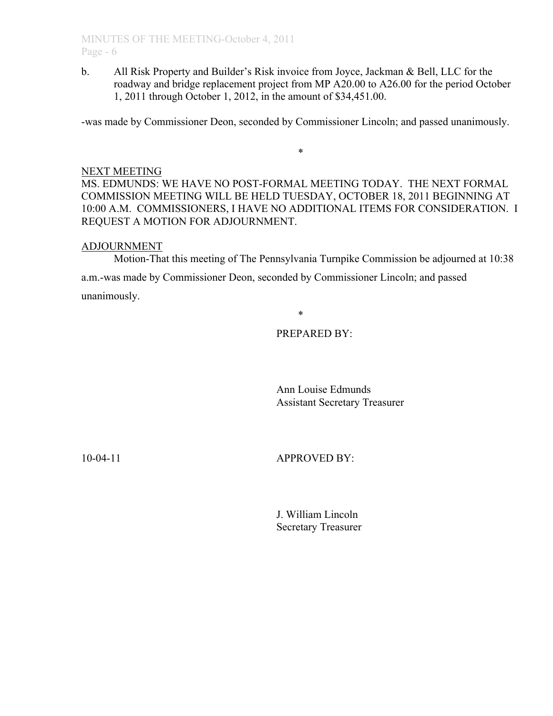b. All Risk Property and Builder's Risk invoice from Joyce, Jackman & Bell, LLC for the roadway and bridge replacement project from MP A20.00 to A26.00 for the period October 1, 2011 through October 1, 2012, in the amount of \$34,451.00.

-was made by Commissioner Deon, seconded by Commissioner Lincoln; and passed unanimously.

\*

### NEXT MEETING

MS. EDMUNDS: WE HAVE NO POST-FORMAL MEETING TODAY. THE NEXT FORMAL COMMISSION MEETING WILL BE HELD TUESDAY, OCTOBER 18, 2011 BEGINNING AT 10:00 A.M. COMMISSIONERS, I HAVE NO ADDITIONAL ITEMS FOR CONSIDERATION. I REQUEST A MOTION FOR ADJOURNMENT.

### ADJOURNMENT

Motion-That this meeting of The Pennsylvania Turnpike Commission be adjourned at 10:38

a.m.-was made by Commissioner Deon, seconded by Commissioner Lincoln; and passed unanimously.

\*

# PREPARED BY:

Ann Louise Edmunds Assistant Secretary Treasurer

10-04-11 APPROVED BY:

J. William Lincoln Secretary Treasurer